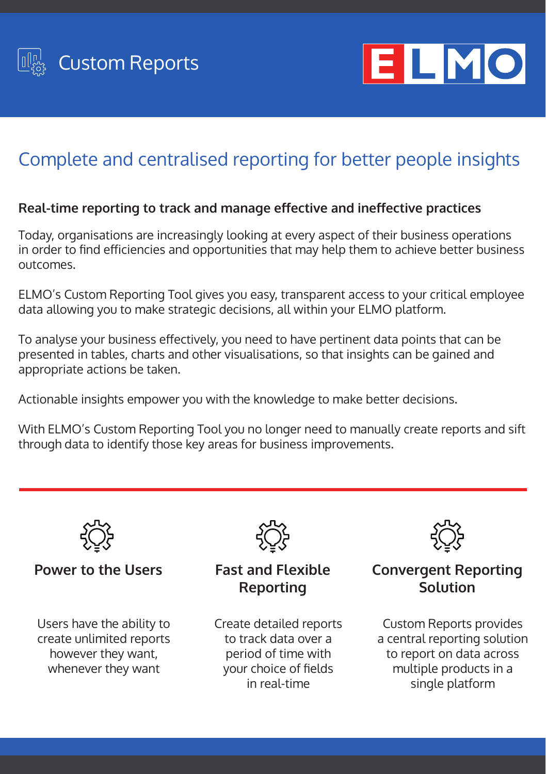



# Complete and centralised reporting for better people insights

#### **Real-time reporting to track and manage effective and ineffective practices**

Today, organisations are increasingly looking at every aspect of their business operations in order to find efficiencies and opportunities that may help them to achieve better business outcomes.

ELMO's Custom Reporting Tool gives you easy, transparent access to your critical employee data allowing you to make strategic decisions, all within your ELMO platform.

To analyse your business effectively, you need to have pertinent data points that can be presented in tables, charts and other visualisations, so that insights can be gained and appropriate actions be taken.

Actionable insights empower you with the knowledge to make better decisions.

With ELMO's Custom Reporting Tool you no longer need to manually create reports and sift through data to identify those key areas for business improvements.



#### **Power to the Users**

Users have the ability to create unlimited reports however they want, whenever they want



### **Fast and Flexible Reporting**

Create detailed reports to track data over a period of time with your choice of fields in real-time



## **Convergent Reporting Solution**

Custom Reports provides a central reporting solution to report on data across multiple products in a single platform